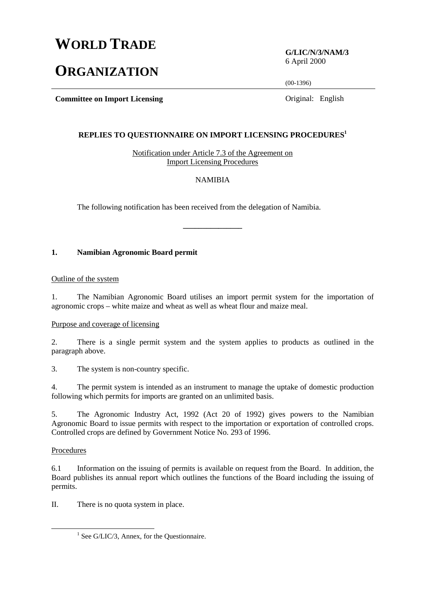# **WORLD TRADE**

# **ORGANIZATION**

**G/LIC/N/3/NAM/3** 6 April 2000

(00-1396)

**Committee on Import Licensing Committee on Import Licensing Committee on Import Licensing** 

#### **REPLIES TO QUESTIONNAIRE ON IMPORT LICENSING PROCEDURES1**

Notification under Article 7.3 of the Agreement on Import Licensing Procedures

#### NAMIBIA

**\_\_\_\_\_\_\_\_\_\_\_\_\_\_\_**

The following notification has been received from the delegation of Namibia.

# **1. Namibian Agronomic Board permit**

#### Outline of the system

1. The Namibian Agronomic Board utilises an import permit system for the importation of agronomic crops – white maize and wheat as well as wheat flour and maize meal.

#### Purpose and coverage of licensing

2. There is a single permit system and the system applies to products as outlined in the paragraph above.

3. The system is non-country specific.

4. The permit system is intended as an instrument to manage the uptake of domestic production following which permits for imports are granted on an unlimited basis.

5. The Agronomic Industry Act, 1992 (Act 20 of 1992) gives powers to the Namibian Agronomic Board to issue permits with respect to the importation or exportation of controlled crops. Controlled crops are defined by Government Notice No. 293 of 1996.

# Procedures

6.1 Information on the issuing of permits is available on request from the Board. In addition, the Board publishes its annual report which outlines the functions of the Board including the issuing of permits.

II. There is no quota system in place.

<sup>&</sup>lt;u>1</u>  $<sup>1</sup>$  See G/LIC/3, Annex, for the Questionnaire.</sup>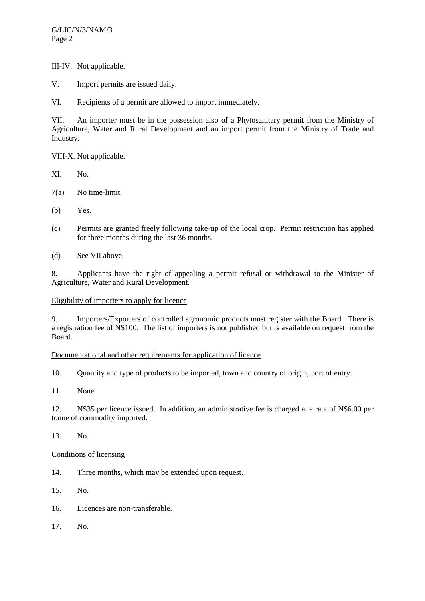III-IV. Not applicable.

V. Import permits are issued daily.

VI. Recipients of a permit are allowed to import immediately.

VII. An importer must be in the possession also of a Phytosanitary permit from the Ministry of Agriculture, Water and Rural Development and an import permit from the Ministry of Trade and Industry.

VIII-X. Not applicable.

- XI. No.
- 7(a) No time-limit.
- (b) Yes.
- (c) Permits are granted freely following take-up of the local crop. Permit restriction has applied for three months during the last 36 months.
- (d) See VII above.

8. Applicants have the right of appealing a permit refusal or withdrawal to the Minister of Agriculture, Water and Rural Development.

# Eligibility of importers to apply for licence

9. Importers/Exporters of controlled agronomic products must register with the Board. There is a registration fee of N\$100. The list of importers is not published but is available on request from the Board.

# Documentational and other requirements for application of licence

10. Quantity and type of products to be imported, town and country of origin, port of entry.

11. None.

12. N\$35 per licence issued. In addition, an administrative fee is charged at a rate of N\$6.00 per tonne of commodity imported.

# 13. No.

# Conditions of licensing

14. Three months, which may be extended upon request.

15. No.

- 16. Licences are non-transferable.
- 17. No.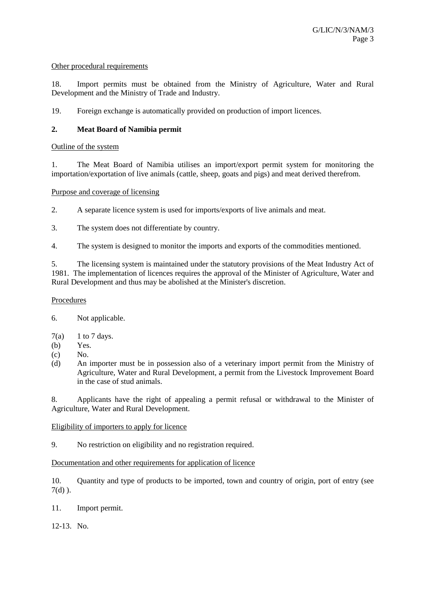#### Other procedural requirements

18. Import permits must be obtained from the Ministry of Agriculture, Water and Rural Development and the Ministry of Trade and Industry.

19. Foreign exchange is automatically provided on production of import licences.

# **2. Meat Board of Namibia permit**

#### Outline of the system

1. The Meat Board of Namibia utilises an import/export permit system for monitoring the importation/exportation of live animals (cattle, sheep, goats and pigs) and meat derived therefrom.

# Purpose and coverage of licensing

2. A separate licence system is used for imports/exports of live animals and meat.

3. The system does not differentiate by country.

4. The system is designed to monitor the imports and exports of the commodities mentioned.

5. The licensing system is maintained under the statutory provisions of the Meat Industry Act of 1981. The implementation of licences requires the approval of the Minister of Agriculture, Water and Rural Development and thus may be abolished at the Minister's discretion.

# Procedures

6. Not applicable.

- $7(a)$  1 to 7 days.
- (b) Yes.
- $(c)$  No.
- (d) An importer must be in possession also of a veterinary import permit from the Ministry of Agriculture, Water and Rural Development, a permit from the Livestock Improvement Board in the case of stud animals.

8. Applicants have the right of appealing a permit refusal or withdrawal to the Minister of Agriculture, Water and Rural Development.

#### Eligibility of importers to apply for licence

9. No restriction on eligibility and no registration required.

# Documentation and other requirements for application of licence

10. Quantity and type of products to be imported, town and country of origin, port of entry (see  $7(d)$ ).

11. Import permit.

12-13. No.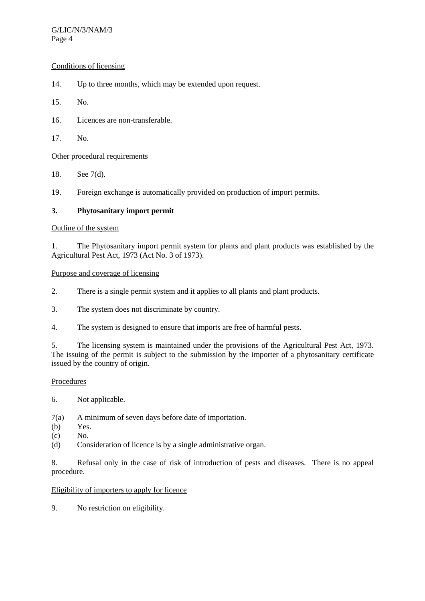### G/LIC/N/3/NAM/3 Page 4

# Conditions of licensing

- 14. Up to three months, which may be extended upon request.
- 15. No.
- 16. Licences are non-transferable.
- 17. No.

# Other procedural requirements

- 18. See 7(d).
- 19. Foreign exchange is automatically provided on production of import permits.

# **3. Phytosanitary import permit**

# Outline of the system

1. The Phytosanitary import permit system for plants and plant products was established by the Agricultural Pest Act, 1973 (Act No. 3 of 1973).

#### Purpose and coverage of licensing

- 2. There is a single permit system and it applies to all plants and plant products.
- 3. The system does not discriminate by country.
- 4. The system is designed to ensure that imports are free of harmful pests.

5. The licensing system is maintained under the provisions of the Agricultural Pest Act, 1973. The issuing of the permit is subject to the submission by the importer of a phytosanitary certificate issued by the country of origin.

#### **Procedures**

6. Not applicable.

7(a) A minimum of seven days before date of importation.

- (b) Yes.
- (c) No.
- (d) Consideration of licence is by a single administrative organ.

8. Refusal only in the case of risk of introduction of pests and diseases. There is no appeal procedure.

#### Eligibility of importers to apply for licence

9. No restriction on eligibility.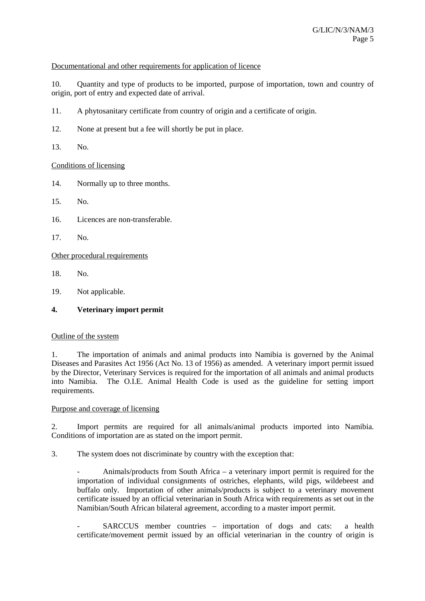# Documentational and other requirements for application of licence

10. Quantity and type of products to be imported, purpose of importation, town and country of origin, port of entry and expected date of arrival.

- 11. A phytosanitary certificate from country of origin and a certificate of origin.
- 12. None at present but a fee will shortly be put in place.
- 13. No.

# Conditions of licensing

- 14. Normally up to three months.
- 15. No.
- 16. Licences are non-transferable.
- 17. No.

Other procedural requirements

- 18. No.
- 19. Not applicable.

# **4. Veterinary import permit**

#### Outline of the system

1. The importation of animals and animal products into Namibia is governed by the Animal Diseases and Parasites Act 1956 (Act No. 13 of 1956) as amended. A veterinary import permit issued by the Director, Veterinary Services is required for the importation of all animals and animal products into Namibia. The O.I.E. Animal Health Code is used as the guideline for setting import requirements.

#### Purpose and coverage of licensing

2. Import permits are required for all animals/animal products imported into Namibia. Conditions of importation are as stated on the import permit.

3. The system does not discriminate by country with the exception that:

- Animals/products from South Africa – a veterinary import permit is required for the importation of individual consignments of ostriches, elephants, wild pigs, wildebeest and buffalo only. Importation of other animals/products is subject to a veterinary movement certificate issued by an official veterinarian in South Africa with requirements as set out in the Namibian/South African bilateral agreement, according to a master import permit.

SARCCUS member countries – importation of dogs and cats: a health certificate/movement permit issued by an official veterinarian in the country of origin is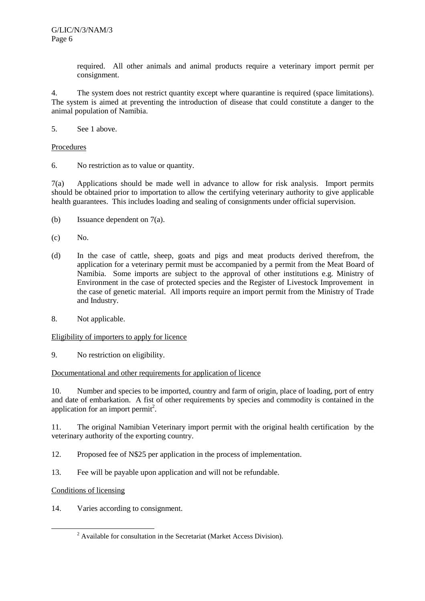required. All other animals and animal products require a veterinary import permit per consignment.

4. The system does not restrict quantity except where quarantine is required (space limitations). The system is aimed at preventing the introduction of disease that could constitute a danger to the animal population of Namibia.

5. See 1 above.

#### Procedures

6. No restriction as to value or quantity.

7(a) Applications should be made well in advance to allow for risk analysis. Import permits should be obtained prior to importation to allow the certifying veterinary authority to give applicable health guarantees. This includes loading and sealing of consignments under official supervision.

- (b) Issuance dependent on 7(a).
- (c) No.
- (d) In the case of cattle, sheep, goats and pigs and meat products derived therefrom, the application for a veterinary permit must be accompanied by a permit from the Meat Board of Namibia. Some imports are subject to the approval of other institutions e.g. Ministry of Environment in the case of protected species and the Register of Livestock Improvement in the case of genetic material. All imports require an import permit from the Ministry of Trade and Industry.
- 8. Not applicable.

#### Eligibility of importers to apply for licence

9. No restriction on eligibility.

#### Documentational and other requirements for application of licence

10. Number and species to be imported, country and farm of origin, place of loading, port of entry and date of embarkation. A fist of other requirements by species and commodity is contained in the application for an import permit<sup>2</sup>.

11. The original Namibian Veterinary import permit with the original health certification by the veterinary authority of the exporting country.

12. Proposed fee of N\$25 per application in the process of implementation.

13. Fee will be payable upon application and will not be refundable.

# Conditions of licensing

14. Varies according to consignment.

 $\overline{\phantom{a}}$ <sup>2</sup> Available for consultation in the Secretariat (Market Access Division).